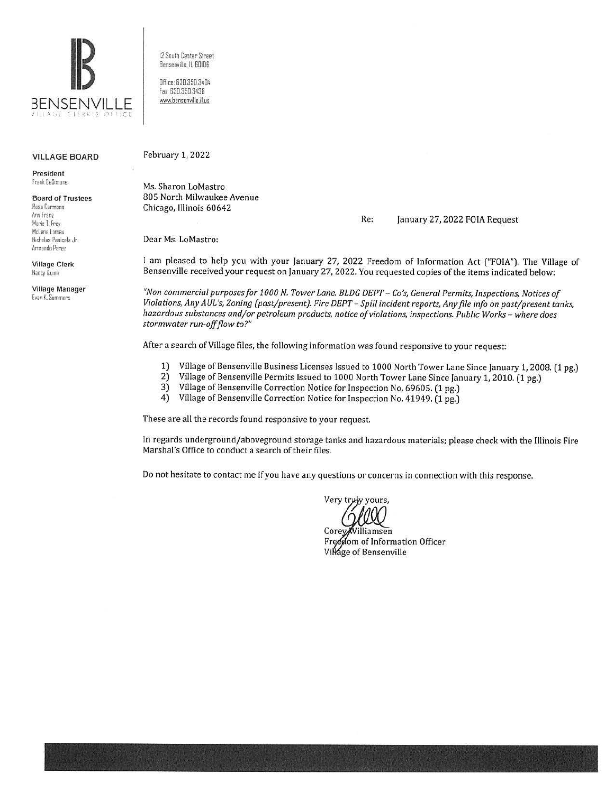

12 South Center Street Benserville, IL BOIDG

Office 630.350.3404 fa, 630.350.3438 www.bensenville.il.us

#### VILLAGE BOARD

President frank UeS,mone

Board of Trustees Rosa Carmona Ann Franz Marie T. Frey McLane Lomax

tlichelas Panicola Jr. Armando Perez

Village Clerk Nancy Quinn

Village Manager Evan K. Summers

February 1, 2022

Ms. Sharon LoMastro 805 North Milwaukee Avenue Chicago, Illinois 60642

Re: January 27, 2022 FOIA Request

Dear Ms. LoMastro:

I am pleased to help you with your January 27, 2022 Freedom of Information Act ("FOIA"). The Village of Bensenville received your request on January 27, 2022. You requested copies of the items indicated below:

*"Non commercial purposes for 1000 N. Tower Lane. BLDG DEPT- Co's, General Permits, Inspections, Notices of Violations, Any AUL's, Zoning (past/present). Fire DEPT-Spill incident reports, Any file info on past/present tanks, hazardous substances and/or petroleum products, notice of violations, inspections. Public Works - where does stormwater run-off flow to?"* 

After a search of Village files, the following information was found responsive to your request:

- 1) Village of Bensenville Business Licenses Issued to 1000 North Tower Lane Since January 1, 2008. (1 pg.) 2) Village of Bensenville Permits Issued to 1000 North Tower Lane Since January 1, 2010. (1 pg.)
- 2) Village of Bensenville Permits Issued to 1000 North Tower Lane Since January 1, 2010. (1 pg.)
- 3) Village of Bensenville Correction Notice for Inspection No. 69605. (1 pg.)
- 4) Village of Bensenville Correction Notice for Inspection No. 41949. (1 pg.)

These are all the records found responsive to your request.

In regards underground/aboveground storage tanks and hazardous materials; please check with the Illinois Fire Marshal's Office to conduct a search of their files.

Do not hesitate to contact me if you have any questions or concerns in connection with this response.

Very truly yours,

Corey illiamsen Freedom of Information Officer Village of Bensenville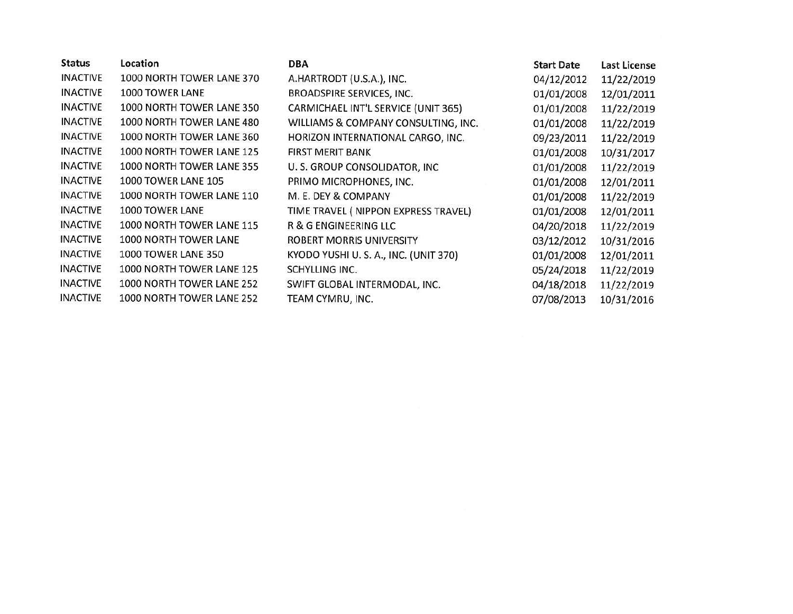| Location                  | <b>DBA</b>                           | <b>Start Date</b> | Last License |
|---------------------------|--------------------------------------|-------------------|--------------|
| 1000 NORTH TOWER LANE 370 | A.HARTRODT (U.S.A.), INC.            | 04/12/2012        | 11/22/2019   |
| 1000 TOWER LANE           | <b>BROADSPIRE SERVICES, INC.</b>     | 01/01/2008        | 12/01/2011   |
| 1000 NORTH TOWER LANE 350 | CARMICHAEL INT'L SERVICE (UNIT 365)  | 01/01/2008        | 11/22/2019   |
| 1000 NORTH TOWER LANE 480 | WILLIAMS & COMPANY CONSULTING, INC.  | 01/01/2008        | 11/22/2019   |
| 1000 NORTH TOWER LANE 360 | HORIZON INTERNATIONAL CARGO, INC.    | 09/23/2011        | 11/22/2019   |
| 1000 NORTH TOWER LANE 125 | <b>FIRST MERIT BANK</b>              | 01/01/2008        | 10/31/2017   |
| 1000 NORTH TOWER LANE 355 | U. S. GROUP CONSOLIDATOR, INC        | 01/01/2008        | 11/22/2019   |
| 1000 TOWER LANE 105       | PRIMO MICROPHONES, INC.              | 01/01/2008        | 12/01/2011   |
| 1000 NORTH TOWER LANE 110 | M. E. DEY & COMPANY                  | 01/01/2008        | 11/22/2019   |
| 1000 TOWER LANE           | TIME TRAVEL (NIPPON EXPRESS TRAVEL)  | 01/01/2008        | 12/01/2011   |
| 1000 NORTH TOWER LANE 115 | R & G ENGINEERING LLC                | 04/20/2018        | 11/22/2019   |
| 1000 NORTH TOWER LANE     | <b>ROBERT MORRIS UNIVERSITY</b>      | 03/12/2012        | 10/31/2016   |
| 1000 TOWER LANE 350       | KYODO YUSHI U.S. A., INC. (UNIT 370) | 01/01/2008        | 12/01/2011   |
| 1000 NORTH TOWER LANE 125 | SCHYLLING INC.                       | 05/24/2018        | 11/22/2019   |
| 1000 NORTH TOWER LANE 252 | SWIFT GLOBAL INTERMODAL, INC.        | 04/18/2018        | 11/22/2019   |
| 1000 NORTH TOWER LANE 252 | TEAM CYMRU, INC.                     | 07/08/2013        | 10/31/2016   |
|                           |                                      |                   |              |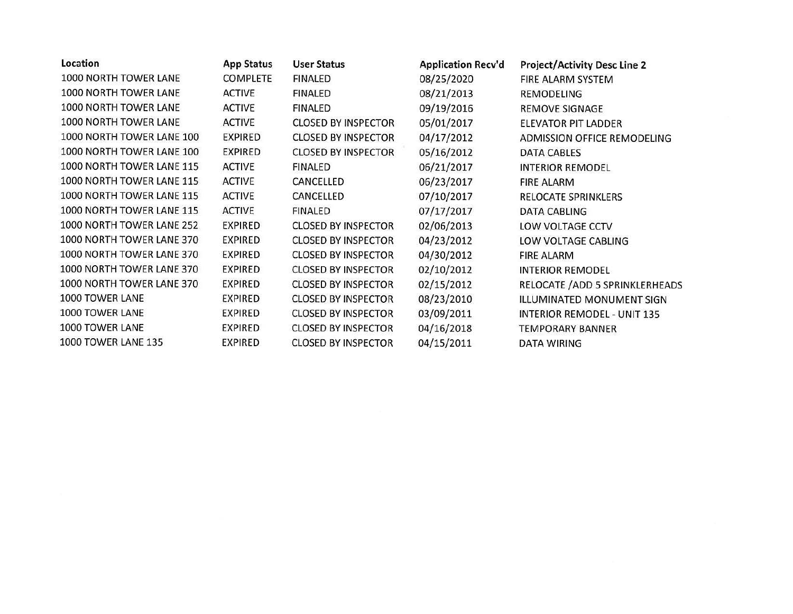| Location                  | <b>App Status</b> | <b>User Status</b>         | <b>Application Recv'd</b> | <b>Project/Activity Desc Line 2</b> |
|---------------------------|-------------------|----------------------------|---------------------------|-------------------------------------|
| 1000 NORTH TOWER LANE     | <b>COMPLETE</b>   | <b>FINALED</b>             | 08/25/2020                | FIRE ALARM SYSTEM                   |
| 1000 NORTH TOWER LANE     | <b>ACTIVE</b>     | FINALED                    | 08/21/2013                | <b>REMODELING</b>                   |
| 1000 NORTH TOWER LANE     | <b>ACTIVE</b>     | FINALED                    | 09/19/2016                | <b>REMOVE SIGNAGE</b>               |
| 1000 NORTH TOWER LANE     | <b>ACTIVE</b>     | <b>CLOSED BY INSPECTOR</b> | 05/01/2017                | ELEVATOR PIT LADDER                 |
| 1000 NORTH TOWER LANE 100 | <b>EXPIRED</b>    | <b>CLOSED BY INSPECTOR</b> | 04/17/2012                | ADMISSION OFFICE REMODELING         |
| 1000 NORTH TOWER LANE 100 | <b>EXPIRED</b>    | <b>CLOSED BY INSPECTOR</b> | 05/16/2012                | <b>DATA CABLES</b>                  |
| 1000 NORTH TOWER LANE 115 | <b>ACTIVE</b>     | <b>FINALED</b>             | 06/21/2017                | <b>INTERIOR REMODEL</b>             |
| 1000 NORTH TOWER LANE 115 | <b>ACTIVE</b>     | CANCELLED                  | 06/23/2017                | <b>FIRE ALARM</b>                   |
| 1000 NORTH TOWER LANE 115 | <b>ACTIVE</b>     | CANCELLED                  | 07/10/2017                | <b>RELOCATE SPRINKLERS</b>          |
| 1000 NORTH TOWER LANE 115 | <b>ACTIVE</b>     | <b>FINALED</b>             | 07/17/2017                | DATA CABLING                        |
| 1000 NORTH TOWER LANE 252 | <b>EXPIRED</b>    | <b>CLOSED BY INSPECTOR</b> | 02/06/2013                | LOW VOLTAGE CCTV                    |
| 1000 NORTH TOWER LANE 370 | <b>EXPIRED</b>    | <b>CLOSED BY INSPECTOR</b> | 04/23/2012                | LOW VOLTAGE CABLING                 |
| 1000 NORTH TOWER LANE 370 | <b>EXPIRED</b>    | <b>CLOSED BY INSPECTOR</b> | 04/30/2012                | <b>FIRE ALARM</b>                   |
| 1000 NORTH TOWER LANE 370 | <b>EXPIRED</b>    | <b>CLOSED BY INSPECTOR</b> | 02/10/2012                | <b>INTERIOR REMODEL</b>             |
| 1000 NORTH TOWER LANE 370 | <b>EXPIRED</b>    | <b>CLOSED BY INSPECTOR</b> | 02/15/2012                | RELOCATE / ADD 5 SPRINKLERHEADS     |
| 1000 TOWER LANE           | <b>EXPIRED</b>    | <b>CLOSED BY INSPECTOR</b> | 08/23/2010                | ILLUMINATED MONUMENT SIGN           |
| 1000 TOWER LANE           | <b>EXPIRED</b>    | <b>CLOSED BY INSPECTOR</b> | 03/09/2011                | <b>INTERIOR REMODEL - UNIT 135</b>  |
| 1000 TOWER LANE           | <b>EXPIRED</b>    | <b>CLOSED BY INSPECTOR</b> | 04/16/2018                | <b>TEMPORARY BANNER</b>             |
| 1000 TOWER LANE 135       | <b>EXPIRED</b>    | <b>CLOSED BY INSPECTOR</b> | 04/15/2011                | <b>DATA WIRING</b>                  |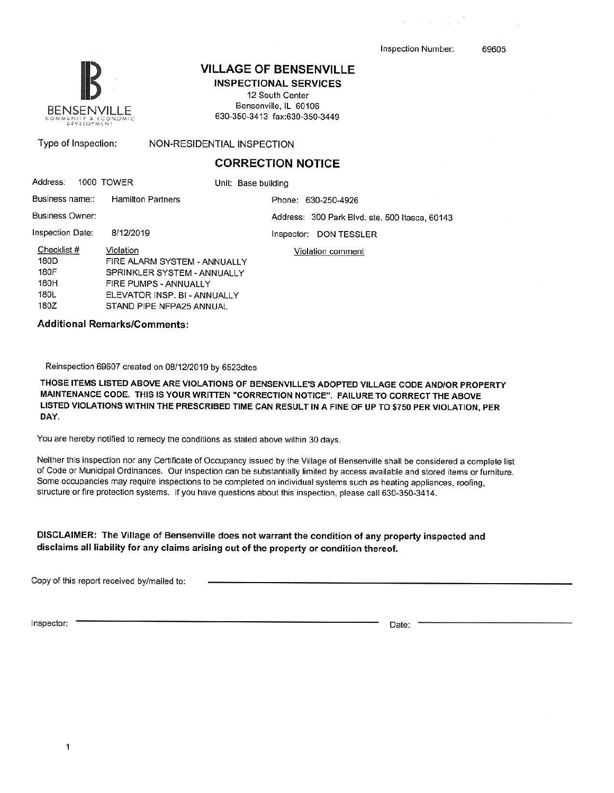69605



# **VILLAGE OF BENSENVILLE**

**INSPECTIONAL SERVICES**  12 South Center

Bensenville, IL 60106 630-350-3413 fax:630-350-3449

Type of Inspection:

## NON-RESIDENTIAL INSPECTION

### **CORRECTION NOTICE**

| Address:               | 1000 TOWER                   | Unit: Base building                            |  |
|------------------------|------------------------------|------------------------------------------------|--|
| Business name::        | <b>Hamilton Partners</b>     | Phone: 630-250-4926                            |  |
| <b>Business Owner:</b> |                              | Address: 300 Park Blvd. ste. 500 Itasca, 60143 |  |
| Inspection Date:       | 8/12/2019                    | DON TESSLER<br>Inspector:                      |  |
| Checklist #            | Violation                    | Violation comment                              |  |
| 180D                   |                              | FIRE ALARM SYSTEM - ANNUALLY                   |  |
| 180F                   | SPRINKLER SYSTEM - ANNUALLY  |                                                |  |
| 180H                   | FIRE PUMPS - ANNUALLY        |                                                |  |
| 180L                   | ELEVATOR INSP. BI - ANNUALLY |                                                |  |
| 180Z                   | STAND PIPE NFPA25 ANNUAL     |                                                |  |

**Additional Remarks/Comments:** 

Reinspection 69607 created on 08/12/2019 by 6523dles

**THOSE ITEMS LISTED ABOVE ARE VIOLATIONS OF BENSENVILLE'\$ ADOPTED VILLAGE CODE AND/OR PROPERTY MAINTENANCE CODE. THIS IS YOUR WRITTEN "CORRECTION NOTICE". FAILURE TO CORRECT THE ABOVE LISTED VIOLATIONS WITHIN THE PRESCRIBED TIME CAN RESULT IN A FINE OF UP TO \$750 PER VIOLATION, PER DAY.** 

You are hereby notified to remedy the conditions as stated above within 30 days.

Neither this inspection nor any Certificate of Occupancy issued by the Village of Bensenville shall be considered a complete list of Code or Municipal Ordinances. Our inspection can be substantially limited by access available and stored items or furniture. Some occupancies may require inspections to be completed on individual systems such as heating appliances, roofing, structure or fire protection systems. If you have questions about this inspection, please call 630-350-3414.

**DISCLAIMER: The Village of Bensenville does not warrant the condition of any property inspected and disclaims all liability for any claims arising out of the property or condition thereof.** 

Copy of this report received by/mailed to:

Inspector: Date: Date: Date: Date: Date: Date: Date: Date: Date: Date: Date: Date: Date: Date: Date: Date: Date: Date: Date: Date: Date: Date: Date: Date: Date: Date: Date: Date: Date: Date: Date: Date: Date: Date: Date: D